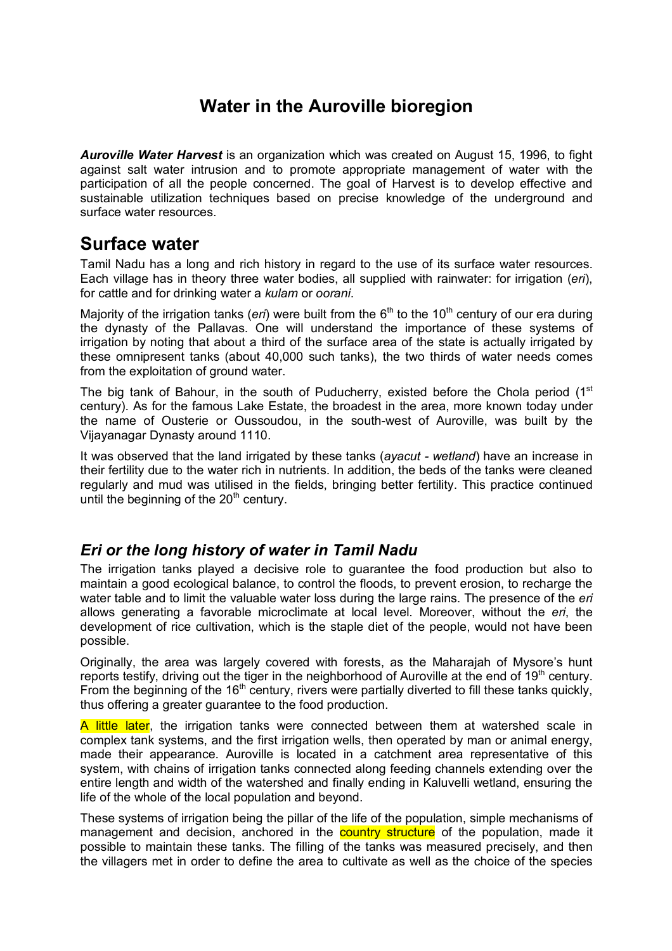# **Water in the Auroville bioregion**

*Auroville Water Harvest* is an organization which was created on August 15, 1996, to fight against salt water intrusion and to promote appropriate management of water with the participation of all the people concerned. The goal of Harvest is to develop effective and sustainable utilization techniques based on precise knowledge of the underground and surface water resources.

### **Surface water**

Tamil Nadu has a long and rich history in regard to the use of its surface water resources. Each village has in theory three water bodies, all supplied with rainwater: for irrigation (*eri*), for cattle and for drinking water a *kulam* or *oorani*.

Majority of the irrigation tanks (*eri*) were built from the 6<sup>th</sup> to the 10<sup>th</sup> century of our era during the dynasty of the Pallavas. One will understand the importance of these systems of irrigation by noting that about a third of the surface area of the state is actually irrigated by these omnipresent tanks (about 40,000 such tanks), the two thirds of water needs comes from the exploitation of ground water.

The big tank of Bahour, in the south of Puducherry, existed before the Chola period  $(1<sup>st</sup>$ century). As for the famous Lake Estate, the broadest in the area, more known today under the name of Ousterie or Oussoudou, in the south-west of Auroville, was built by the Vijayanagar Dynasty around 1110.

It was observed that the land irrigated by these tanks (*ayacut - wetland*) have an increase in their fertility due to the water rich in nutrients. In addition, the beds of the tanks were cleaned regularly and mud was utilised in the fields, bringing better fertility. This practice continued until the beginning of the  $20<sup>th</sup>$  century.

#### *Eri or the long history of water in Tamil Nadu*

The irrigation tanks played a decisive role to guarantee the food production but also to maintain a good ecological balance, to control the floods, to prevent erosion, to recharge the water table and to limit the valuable water loss during the large rains. The presence of the *eri* allows generating a favorable microclimate at local level. Moreover, without the *eri*, the development of rice cultivation, which is the staple diet of the people, would not have been possible.

Originally, the area was largely covered with forests, as the Maharajah of Mysore's hunt reports testify, driving out the tiger in the neighborhood of Auroville at the end of 19<sup>th</sup> century. From the beginning of the 16<sup>th</sup> century, rivers were partially diverted to fill these tanks quickly, thus offering a greater guarantee to the food production.

A little later, the irrigation tanks were connected between them at watershed scale in complex tank systems, and the first irrigation wells, then operated by man or animal energy, made their appearance. Auroville is located in a catchment area representative of this system, with chains of irrigation tanks connected along feeding channels extending over the entire length and width of the watershed and finally ending in Kaluvelli wetland, ensuring the life of the whole of the local population and beyond.

These systems of irrigation being the pillar of the life of the population, simple mechanisms of management and decision, anchored in the **country structure** of the population, made it possible to maintain these tanks. The filling of the tanks was measured precisely, and then the villagers met in order to define the area to cultivate as well as the choice of the species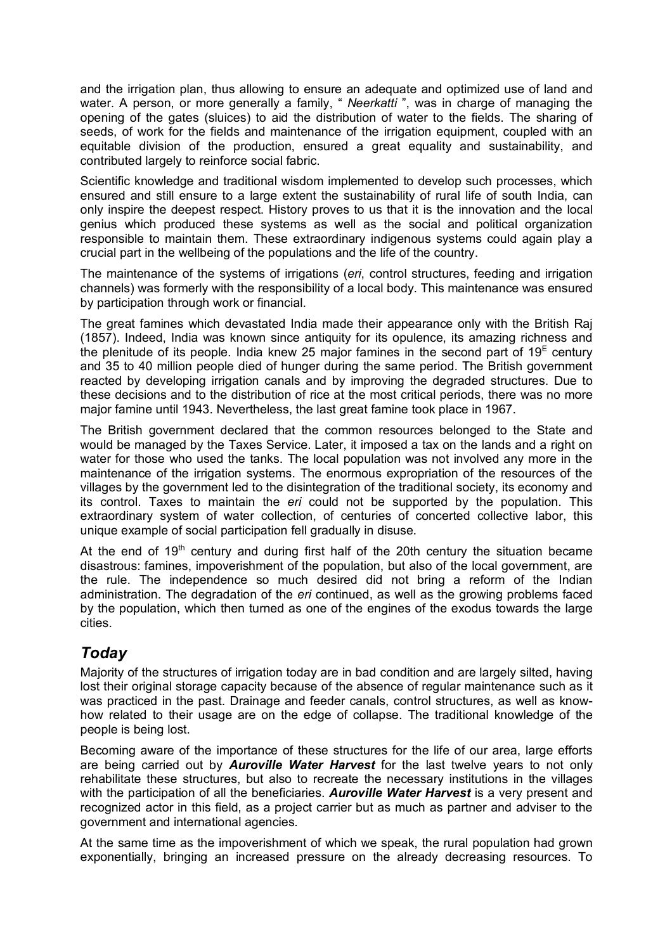and the irrigation plan, thus allowing to ensure an adequate and optimized use of land and water. A person, or more generally a family, " *Neerkatti* ", was in charge of managing the opening of the gates (sluices) to aid the distribution of water to the fields. The sharing of seeds, of work for the fields and maintenance of the irrigation equipment, coupled with an equitable division of the production, ensured a great equality and sustainability, and contributed largely to reinforce social fabric.

Scientific knowledge and traditional wisdom implemented to develop such processes, which ensured and still ensure to a large extent the sustainability of rural life of south India, can only inspire the deepest respect. History proves to us that it is the innovation and the local genius which produced these systems as well as the social and political organization responsible to maintain them. These extraordinary indigenous systems could again play a crucial part in the wellbeing of the populations and the life of the country.

The maintenance of the systems of irrigations (*eri*, control structures, feeding and irrigation channels) was formerly with the responsibility of a local body. This maintenance was ensured by participation through work or financial.

The great famines which devastated India made their appearance only with the British Raj (1857). Indeed, India was known since antiquity for its opulence, its amazing richness and the plenitude of its people. India knew 25 major famines in the second part of  $19^{\text{E}}$  century and 35 to 40 million people died of hunger during the same period. The British government reacted by developing irrigation canals and by improving the degraded structures. Due to these decisions and to the distribution of rice at the most critical periods, there was no more major famine until 1943. Nevertheless, the last great famine took place in 1967.

The British government declared that the common resources belonged to the State and would be managed by the Taxes Service. Later, it imposed a tax on the lands and a right on water for those who used the tanks. The local population was not involved any more in the maintenance of the irrigation systems. The enormous expropriation of the resources of the villages by the government led to the disintegration of the traditional society, its economy and its control. Taxes to maintain the *eri* could not be supported by the population. This extraordinary system of water collection, of centuries of concerted collective labor, this unique example of social participation fell gradually in disuse.

At the end of  $19<sup>th</sup>$  century and during first half of the 20th century the situation became disastrous: famines, impoverishment of the population, but also of the local government, are the rule. The independence so much desired did not bring a reform of the Indian administration. The degradation of the *eri* continued, as well as the growing problems faced by the population, which then turned as one of the engines of the exodus towards the large cities.

### *Today*

Majority of the structures of irrigation today are in bad condition and are largely silted, having lost their original storage capacity because of the absence of regular maintenance such as it was practiced in the past. Drainage and feeder canals, control structures, as well as knowhow related to their usage are on the edge of collapse. The traditional knowledge of the people is being lost.

Becoming aware of the importance of these structures for the life of our area, large efforts are being carried out by *Auroville Water Harvest* for the last twelve years to not only rehabilitate these structures, but also to recreate the necessary institutions in the villages with the participation of all the beneficiaries. *Auroville Water Harvest* is a very present and recognized actor in this field, as a project carrier but as much as partner and adviser to the government and international agencies.

At the same time as the impoverishment of which we speak, the rural population had grown exponentially, bringing an increased pressure on the already decreasing resources. To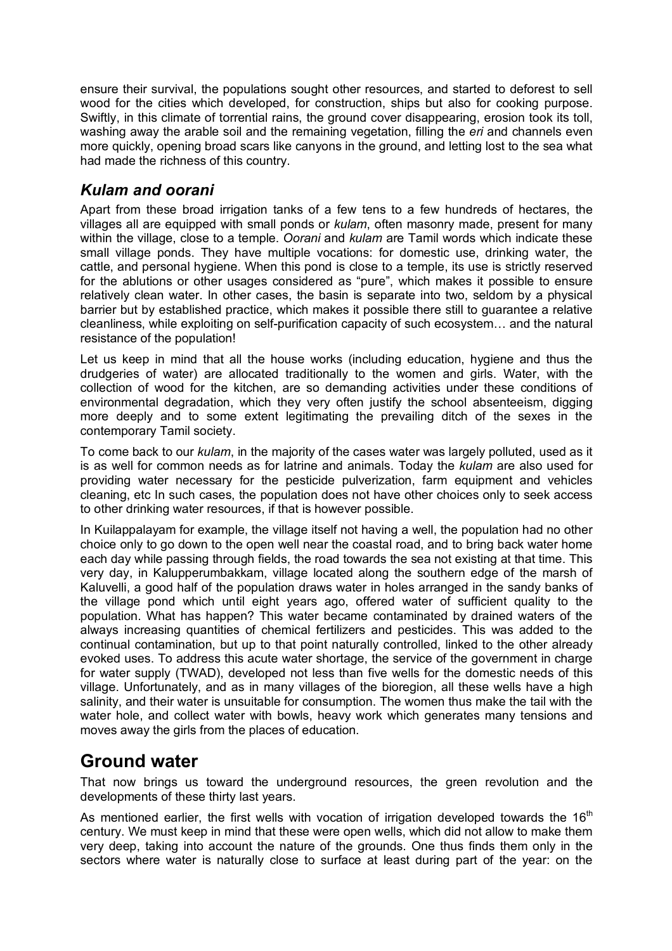ensure their survival, the populations sought other resources, and started to deforest to sell wood for the cities which developed, for construction, ships but also for cooking purpose. Swiftly, in this climate of torrential rains, the ground cover disappearing, erosion took its toll, washing away the arable soil and the remaining vegetation, filling the *eri* and channels even more quickly, opening broad scars like canyons in the ground, and letting lost to the sea what had made the richness of this country.

### *Kulam and oorani*

Apart from these broad irrigation tanks of a few tens to a few hundreds of hectares, the villages all are equipped with small ponds or *kulam*, often masonry made, present for many within the village, close to a temple. *Oorani* and *kulam* are Tamil words which indicate these small village ponds. They have multiple vocations: for domestic use, drinking water, the cattle, and personal hygiene. When this pond is close to a temple, its use is strictly reserved for the ablutions or other usages considered as "pure", which makes it possible to ensure relatively clean water. In other cases, the basin is separate into two, seldom by a physical barrier but by established practice, which makes it possible there still to guarantee a relative cleanliness, while exploiting on self-purification capacity of such ecosystem… and the natural resistance of the population!

Let us keep in mind that all the house works (including education, hygiene and thus the drudgeries of water) are allocated traditionally to the women and girls. Water, with the collection of wood for the kitchen, are so demanding activities under these conditions of environmental degradation, which they very often justify the school absenteeism, digging more deeply and to some extent legitimating the prevailing ditch of the sexes in the contemporary Tamil society.

To come back to our *kulam*, in the majority of the cases water was largely polluted, used as it is as well for common needs as for latrine and animals. Today the *kulam* are also used for providing water necessary for the pesticide pulverization, farm equipment and vehicles cleaning, etc In such cases, the population does not have other choices only to seek access to other drinking water resources, if that is however possible.

In Kuilappalayam for example, the village itself not having a well, the population had no other choice only to go down to the open well near the coastal road, and to bring back water home each day while passing through fields, the road towards the sea not existing at that time. This very day, in Kalupperumbakkam, village located along the southern edge of the marsh of Kaluvelli, a good half of the population draws water in holes arranged in the sandy banks of the village pond which until eight years ago, offered water of sufficient quality to the population. What has happen? This water became contaminated by drained waters of the always increasing quantities of chemical fertilizers and pesticides. This was added to the continual contamination, but up to that point naturally controlled, linked to the other already evoked uses. To address this acute water shortage, the service of the government in charge for water supply (TWAD), developed not less than five wells for the domestic needs of this village. Unfortunately, and as in many villages of the bioregion, all these wells have a high salinity, and their water is unsuitable for consumption. The women thus make the tail with the water hole, and collect water with bowls, heavy work which generates many tensions and moves away the girls from the places of education.

## **Ground water**

That now brings us toward the underground resources, the green revolution and the developments of these thirty last years.

As mentioned earlier, the first wells with vocation of irrigation developed towards the  $16<sup>th</sup>$ century. We must keep in mind that these were open wells, which did not allow to make them very deep, taking into account the nature of the grounds. One thus finds them only in the sectors where water is naturally close to surface at least during part of the year: on the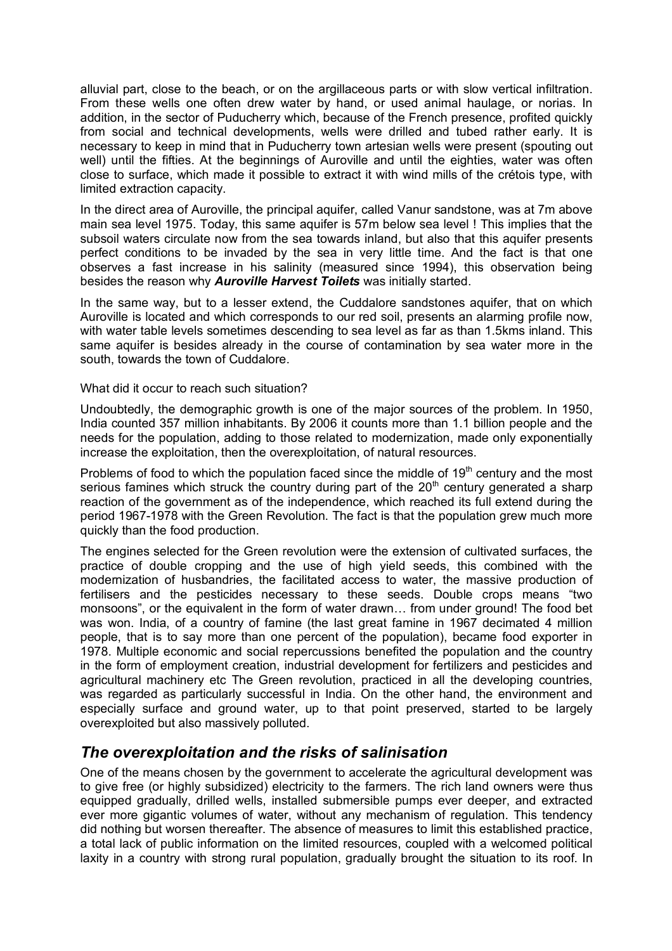alluvial part, close to the beach, or on the argillaceous parts or with slow vertical infiltration. From these wells one often drew water by hand, or used animal haulage, or norias. In addition, in the sector of Puducherry which, because of the French presence, profited quickly from social and technical developments, wells were drilled and tubed rather early. It is necessary to keep in mind that in Puducherry town artesian wells were present (spouting out well) until the fifties. At the beginnings of Auroville and until the eighties, water was often close to surface, which made it possible to extract it with wind mills of the crétois type, with limited extraction capacity.

In the direct area of Auroville, the principal aquifer, called Vanur sandstone, was at 7m above main sea level 1975. Today, this same aquifer is 57m below sea level ! This implies that the subsoil waters circulate now from the sea towards inland, but also that this aquifer presents perfect conditions to be invaded by the sea in very little time. And the fact is that one observes a fast increase in his salinity (measured since 1994), this observation being besides the reason why *Auroville Harvest Toilets* was initially started.

In the same way, but to a lesser extend, the Cuddalore sandstones aquifer, that on which Auroville is located and which corresponds to our red soil, presents an alarming profile now, with water table levels sometimes descending to sea level as far as than 1.5kms inland. This same aquifer is besides already in the course of contamination by sea water more in the south, towards the town of Cuddalore.

What did it occur to reach such situation?

Undoubtedly, the demographic growth is one of the major sources of the problem. In 1950, India counted 357 million inhabitants. By 2006 it counts more than 1.1 billion people and the needs for the population, adding to those related to modernization, made only exponentially increase the exploitation, then the overexploitation, of natural resources.

Problems of food to which the population faced since the middle of  $19<sup>th</sup>$  century and the most serious famines which struck the country during part of the  $20<sup>th</sup>$  century generated a sharp reaction of the government as of the independence, which reached its full extend during the period 1967-1978 with the Green Revolution. The fact is that the population grew much more quickly than the food production.

The engines selected for the Green revolution were the extension of cultivated surfaces, the practice of double cropping and the use of high yield seeds, this combined with the modernization of husbandries, the facilitated access to water, the massive production of fertilisers and the pesticides necessary to these seeds. Double crops means "two monsoons", or the equivalent in the form of water drawn… from under ground! The food bet was won. India, of a country of famine (the last great famine in 1967 decimated 4 million people, that is to say more than one percent of the population), became food exporter in 1978. Multiple economic and social repercussions benefited the population and the country in the form of employment creation, industrial development for fertilizers and pesticides and agricultural machinery etc The Green revolution, practiced in all the developing countries, was regarded as particularly successful in India. On the other hand, the environment and especially surface and ground water, up to that point preserved, started to be largely overexploited but also massively polluted.

#### *The overexploitation and the risks of salinisation*

One of the means chosen by the government to accelerate the agricultural development was to give free (or highly subsidized) electricity to the farmers. The rich land owners were thus equipped gradually, drilled wells, installed submersible pumps ever deeper, and extracted ever more gigantic volumes of water, without any mechanism of regulation. This tendency did nothing but worsen thereafter. The absence of measures to limit this established practice, a total lack of public information on the limited resources, coupled with a welcomed political laxity in a country with strong rural population, gradually brought the situation to its roof. In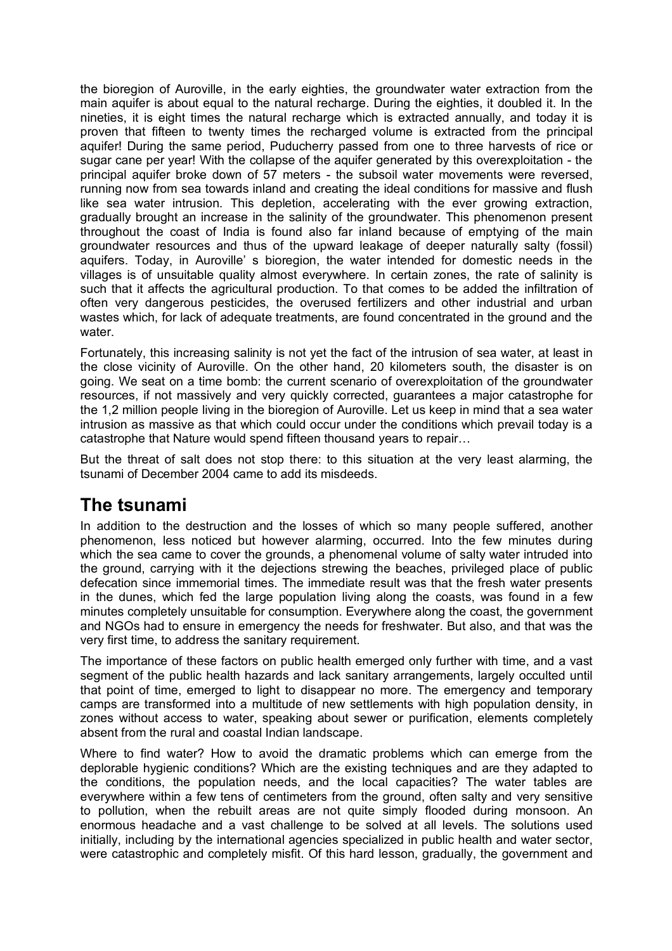the bioregion of Auroville, in the early eighties, the groundwater water extraction from the main aquifer is about equal to the natural recharge. During the eighties, it doubled it. In the nineties, it is eight times the natural recharge which is extracted annually, and today it is proven that fifteen to twenty times the recharged volume is extracted from the principal aquifer! During the same period, Puducherry passed from one to three harvests of rice or sugar cane per year! With the collapse of the aquifer generated by this overexploitation - the principal aquifer broke down of 57 meters - the subsoil water movements were reversed, running now from sea towards inland and creating the ideal conditions for massive and flush like sea water intrusion. This depletion, accelerating with the ever growing extraction, gradually brought an increase in the salinity of the groundwater. This phenomenon present throughout the coast of India is found also far inland because of emptying of the main groundwater resources and thus of the upward leakage of deeper naturally salty (fossil) aquifers. Today, in Auroville' s bioregion, the water intended for domestic needs in the villages is of unsuitable quality almost everywhere. In certain zones, the rate of salinity is such that it affects the agricultural production. To that comes to be added the infiltration of often very dangerous pesticides, the overused fertilizers and other industrial and urban wastes which, for lack of adequate treatments, are found concentrated in the ground and the water.

Fortunately, this increasing salinity is not yet the fact of the intrusion of sea water, at least in the close vicinity of Auroville. On the other hand, 20 kilometers south, the disaster is on going. We seat on a time bomb: the current scenario of overexploitation of the groundwater resources, if not massively and very quickly corrected, guarantees a major catastrophe for the 1,2 million people living in the bioregion of Auroville. Let us keep in mind that a sea water intrusion as massive as that which could occur under the conditions which prevail today is a catastrophe that Nature would spend fifteen thousand years to repair…

But the threat of salt does not stop there: to this situation at the very least alarming, the tsunami of December 2004 came to add its misdeeds.

## **The tsunami**

In addition to the destruction and the losses of which so many people suffered, another phenomenon, less noticed but however alarming, occurred. Into the few minutes during which the sea came to cover the grounds, a phenomenal volume of salty water intruded into the ground, carrying with it the dejections strewing the beaches, privileged place of public defecation since immemorial times. The immediate result was that the fresh water presents in the dunes, which fed the large population living along the coasts, was found in a few minutes completely unsuitable for consumption. Everywhere along the coast, the government and NGOs had to ensure in emergency the needs for freshwater. But also, and that was the very first time, to address the sanitary requirement.

The importance of these factors on public health emerged only further with time, and a vast segment of the public health hazards and lack sanitary arrangements, largely occulted until that point of time, emerged to light to disappear no more. The emergency and temporary camps are transformed into a multitude of new settlements with high population density, in zones without access to water, speaking about sewer or purification, elements completely absent from the rural and coastal Indian landscape.

Where to find water? How to avoid the dramatic problems which can emerge from the deplorable hygienic conditions? Which are the existing techniques and are they adapted to the conditions, the population needs, and the local capacities? The water tables are everywhere within a few tens of centimeters from the ground, often salty and very sensitive to pollution, when the rebuilt areas are not quite simply flooded during monsoon. An enormous headache and a vast challenge to be solved at all levels. The solutions used initially, including by the international agencies specialized in public health and water sector, were catastrophic and completely misfit. Of this hard lesson, gradually, the government and